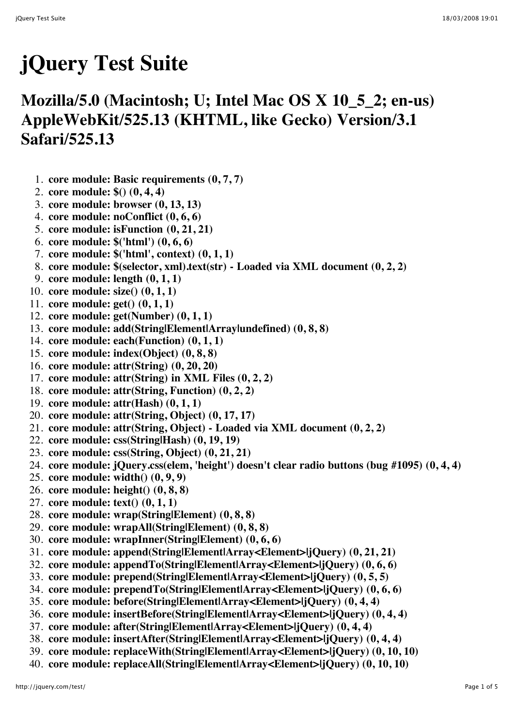## **jQuery Test Suite**

## **Mozilla/5.0 (Macintosh; U; Intel Mac OS X 10\_5\_2; en-us) AppleWebKit/525.13 (KHTML, like Gecko) Version/3.1 Safari/525.13**

- 1. **core module: Basic requirements (0, 7, 7)**
- 2. **core module: \$() (0, 4, 4)**
- 3. **core module: browser (0, 13, 13)**
- 4. **core module: noConflict (0, 6, 6)**
- 5. **core module: isFunction (0, 21, 21)**
- 6. **core module: \$('html') (0, 6, 6)**
- 7. **core module: \$('html', context) (0, 1, 1)**
- 8. **core module: \$(selector, xml).text(str) Loaded via XML document (0, 2, 2)**
- 9. **core module: length (0, 1, 1)**
- 10. **core module: size() (0, 1, 1)**
- 11. **core module: get() (0, 1, 1)**
- 12. **core module: get(Number) (0, 1, 1)**
- 13. **core module: add(String|Element|Array|undefined) (0, 8, 8)**
- 14. **core module: each(Function) (0, 1, 1)**
- 15. **core module: index(Object) (0, 8, 8)**
- 16. **core module: attr(String) (0, 20, 20)**
- 17. **core module: attr(String) in XML Files (0, 2, 2)**
- 18. **core module: attr(String, Function) (0, 2, 2)**
- 19. **core module: attr(Hash) (0, 1, 1)**
- 20. **core module: attr(String, Object) (0, 17, 17)**
- 21. **core module: attr(String, Object) Loaded via XML document (0, 2, 2)**
- 22. **core module: css(String|Hash) (0, 19, 19)**
- 23. **core module: css(String, Object) (0, 21, 21)**
- 24. **core module: jQuery.css(elem, 'height') doesn't clear radio buttons (bug #1095) (0, 4, 4)**
- 25. **core module: width() (0, 9, 9)**
- 26. **core module: height() (0, 8, 8)**
- 27. **core module: text() (0, 1, 1)**
- 28. **core module: wrap(String|Element) (0, 8, 8)**
- 29. **core module: wrapAll(String|Element) (0, 8, 8)**
- 30. **core module: wrapInner(String|Element) (0, 6, 6)**
- 31. **core module: append(String|Element|Array<Element>|jQuery) (0, 21, 21)**
- 32. **core module: appendTo(String|Element|Array<Element>|jQuery) (0, 6, 6)**
- 33. **core module: prepend(String|Element|Array<Element>|jQuery) (0, 5, 5)**
- 34. **core module: prependTo(String|Element|Array<Element>|jQuery) (0, 6, 6)**
- 35. **core module: before(String|Element|Array<Element>|jQuery) (0, 4, 4)**
- 36. **core module: insertBefore(String|Element|Array<Element>|jQuery) (0, 4, 4)**
- 37. **core module: after(String|Element|Array<Element>|jQuery) (0, 4, 4)**
- 38. **core module: insertAfter(String|Element|Array<Element>|jQuery) (0, 4, 4)**
- 39. **core module: replaceWith(String|Element|Array<Element>|jQuery) (0, 10, 10)**
- 40. **core module: replaceAll(String|Element|Array<Element>|jQuery) (0, 10, 10)**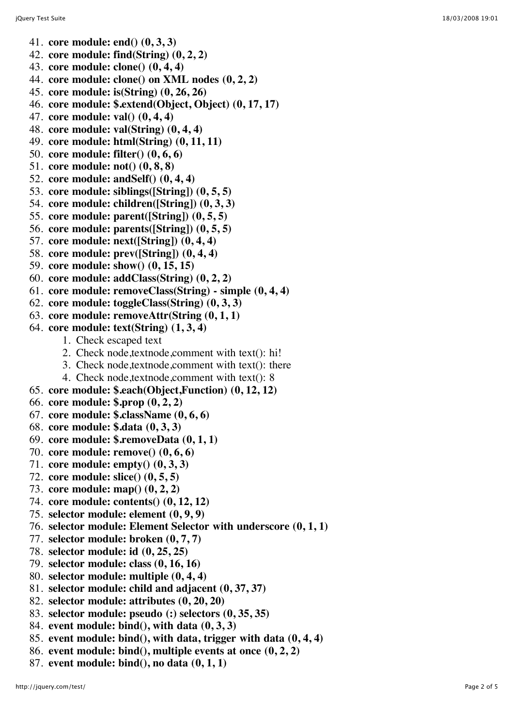- 41. **core module: end() (0, 3, 3)**
- 42. **core module: find(String) (0, 2, 2)**
- 43. **core module: clone() (0, 4, 4)**
- 44. **core module: clone() on XML nodes (0, 2, 2)**
- 45. **core module: is(String) (0, 26, 26)**
- 46. **core module: \$.extend(Object, Object) (0, 17, 17)**
- 47. **core module: val() (0, 4, 4)**
- 48. **core module: val(String) (0, 4, 4)**
- 49. **core module: html(String) (0, 11, 11)**
- 50. **core module: filter() (0, 6, 6)**
- 51. **core module: not() (0, 8, 8)**
- 52. **core module: andSelf() (0, 4, 4)**
- 53. **core module: siblings([String]) (0, 5, 5)**
- 54. **core module: children([String]) (0, 3, 3)**
- 55. **core module: parent([String]) (0, 5, 5)**
- 56. **core module: parents([String]) (0, 5, 5)**
- 57. **core module: next([String]) (0, 4, 4)**
- 58. **core module: prev([String]) (0, 4, 4)**
- 59. **core module: show() (0, 15, 15)**
- 60. **core module: addClass(String) (0, 2, 2)**
- 61. **core module: removeClass(String) simple (0, 4, 4)**
- 62. **core module: toggleClass(String) (0, 3, 3)**
- 63. **core module: removeAttr(String (0, 1, 1)**
- 64. **core module: text(String) (1, 3, 4)**
	- 1. Check escaped text
	- 2. Check node,textnode,comment with text(): hi!
	- 3. Check node,textnode,comment with text(): there
	- 4. Check node,textnode,comment with text(): 8
- 65. **core module: \$.each(Object,Function) (0, 12, 12)**
- 66. **core module: \$.prop (0, 2, 2)**
- 67. **core module: \$.className (0, 6, 6)**
- 68. **core module: \$.data (0, 3, 3)**
- 69. **core module: \$.removeData (0, 1, 1)**
- 70. **core module: remove() (0, 6, 6)**
- 71. **core module: empty() (0, 3, 3)**
- 72. **core module: slice() (0, 5, 5)**
- 73. **core module: map() (0, 2, 2)**
- 74. **core module: contents() (0, 12, 12)**
- 75. **selector module: element (0, 9, 9)**
- 76. **selector module: Element Selector with underscore (0, 1, 1)**
- 77. **selector module: broken (0, 7, 7)**
- 78. **selector module: id (0, 25, 25)**
- 79. **selector module: class (0, 16, 16)**
- 80. **selector module: multiple (0, 4, 4)**
- 81. **selector module: child and adjacent (0, 37, 37)**
- 82. **selector module: attributes (0, 20, 20)**
- 83. **selector module: pseudo (:) selectors (0, 35, 35)**
- 84. **event module: bind(), with data (0, 3, 3)**
- 85. **event module: bind(), with data, trigger with data (0, 4, 4)**
- 86. **event module: bind(), multiple events at once (0, 2, 2)**
- 87. **event module: bind(), no data (0, 1, 1)**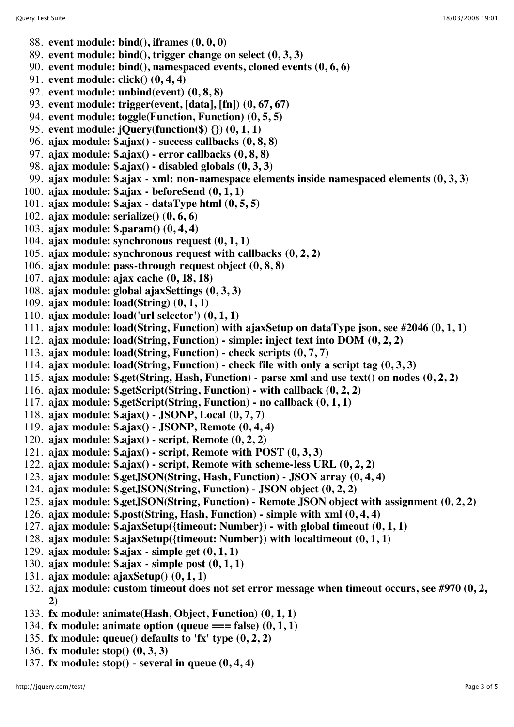- 88. **event module: bind(), iframes (0, 0, 0)**
- 89. **event module: bind(), trigger change on select (0, 3, 3)**
- 90. **event module: bind(), namespaced events, cloned events (0, 6, 6)**
- 91. **event module: click() (0, 4, 4)**
- 92. **event module: unbind(event) (0, 8, 8)**
- 93. **event module: trigger(event, [data], [fn]) (0, 67, 67)**
- 94. **event module: toggle(Function, Function) (0, 5, 5)**
- 95. **event module: jQuery(function(\$) {}) (0, 1, 1)**
- 96. **ajax module: \$.ajax() success callbacks (0, 8, 8)**
- 97. **ajax module: \$.ajax() error callbacks (0, 8, 8)**
- 98. **ajax module: \$.ajax() disabled globals (0, 3, 3)**
- 99. **ajax module: \$.ajax xml: non-namespace elements inside namespaced elements (0, 3, 3)**
- 100. **ajax module: \$.ajax beforeSend (0, 1, 1)**
- 101. **ajax module: \$.ajax dataType html (0, 5, 5)**
- 102. **ajax module: serialize() (0, 6, 6)**
- 103. **ajax module: \$.param() (0, 4, 4)**
- 104. **ajax module: synchronous request (0, 1, 1)**
- 105. **ajax module: synchronous request with callbacks (0, 2, 2)**
- 106. **ajax module: pass-through request object (0, 8, 8)**
- 107. **ajax module: ajax cache (0, 18, 18)**
- 108. **ajax module: global ajaxSettings (0, 3, 3)**
- 109. **ajax module: load(String) (0, 1, 1)**
- 110. **ajax module: load('url selector') (0, 1, 1)**
- 111. **ajax module: load(String, Function) with ajaxSetup on dataType json, see #2046 (0, 1, 1)**
- 112. **ajax module: load(String, Function) simple: inject text into DOM (0, 2, 2)**
- 113. **ajax module: load(String, Function) check scripts (0, 7, 7)**
- 114. **ajax module: load(String, Function) check file with only a script tag (0, 3, 3)**
- 115. **ajax module: \$.get(String, Hash, Function) parse xml and use text() on nodes (0, 2, 2)**
- 116. **ajax module: \$.getScript(String, Function) with callback (0, 2, 2)**
- 117. **ajax module: \$.getScript(String, Function) no callback (0, 1, 1)**
- 118. **ajax module: \$.ajax() JSONP, Local (0, 7, 7)**
- 119. **ajax module: \$.ajax() JSONP, Remote (0, 4, 4)**
- 120. **ajax module: \$.ajax() script, Remote (0, 2, 2)**
- 121. **ajax module: \$.ajax() script, Remote with POST (0, 3, 3)**
- 122. **ajax module: \$.ajax() script, Remote with scheme-less URL (0, 2, 2)**
- 123. **ajax module: \$.getJSON(String, Hash, Function) JSON array (0, 4, 4)**
- 124. **ajax module: \$.getJSON(String, Function) JSON object (0, 2, 2)**
- 125. **ajax module: \$.getJSON(String, Function) Remote JSON object with assignment (0, 2, 2)**
- 126. **ajax module: \$.post(String, Hash, Function) simple with xml (0, 4, 4)**
- 127. **ajax module: \$.ajaxSetup({timeout: Number}) with global timeout (0, 1, 1)**
- 128. **ajax module: \$.ajaxSetup({timeout: Number}) with localtimeout (0, 1, 1)**
- 129. **ajax module: \$.ajax simple get (0, 1, 1)**
- 130. **ajax module: \$.ajax simple post (0, 1, 1)**
- 131. **ajax module: ajaxSetup() (0, 1, 1)**
- 132. **ajax module: custom timeout does not set error message when timeout occurs, see #970 (0, 2, 2)**
- 133. **fx module: animate(Hash, Object, Function) (0, 1, 1)**
- 134. **fx module: animate option (queue === false) (0, 1, 1)**
- 135. **fx module: queue() defaults to 'fx' type (0, 2, 2)**
- 136. **fx module: stop() (0, 3, 3)**
- 137. **fx module: stop() several in queue (0, 4, 4)**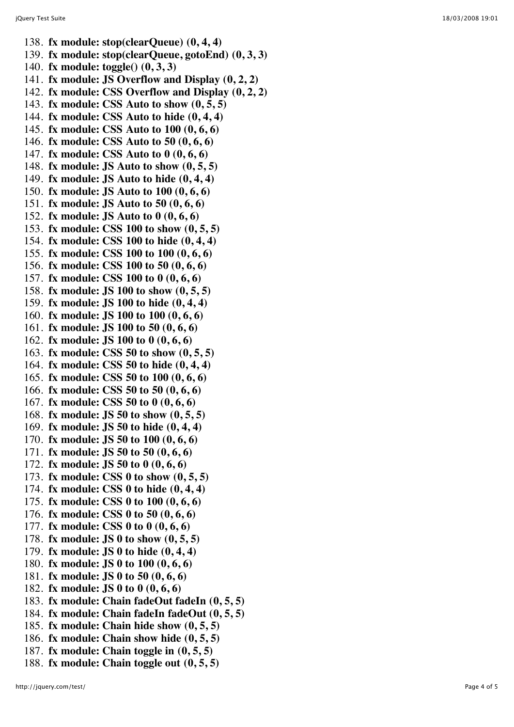- 138. **fx module: stop(clearQueue) (0, 4, 4)**
- 139. **fx module: stop(clearQueue, gotoEnd) (0, 3, 3)**
- 140. **fx module: toggle() (0, 3, 3)**
- 141. **fx module: JS Overflow and Display (0, 2, 2)**
- 142. **fx module: CSS Overflow and Display (0, 2, 2)**
- 143. **fx module: CSS Auto to show (0, 5, 5)**
- 144. **fx module: CSS Auto to hide (0, 4, 4)**
- 145. **fx module: CSS Auto to 100 (0, 6, 6)**
- 146. **fx module: CSS Auto to 50 (0, 6, 6)**
- 147. **fx module: CSS Auto to 0 (0, 6, 6)**
- 148. **fx module: JS Auto to show (0, 5, 5)**
- 149. **fx module: JS Auto to hide (0, 4, 4)**
- 150. **fx module: JS Auto to 100 (0, 6, 6)**
- 151. **fx module: JS Auto to 50 (0, 6, 6)**
- 152. **fx module: JS Auto to 0 (0, 6, 6)**
- 153. **fx module: CSS 100 to show (0, 5, 5)**
- 154. **fx module: CSS 100 to hide (0, 4, 4)**
- 155. **fx module: CSS 100 to 100 (0, 6, 6)**
- 156. **fx module: CSS 100 to 50 (0, 6, 6)**
- 157. **fx module: CSS 100 to 0 (0, 6, 6)**
- 158. **fx module: JS 100 to show (0, 5, 5)**
- 159. **fx module: JS 100 to hide (0, 4, 4)**
- 160. **fx module: JS 100 to 100 (0, 6, 6)**
- 161. **fx module: JS 100 to 50 (0, 6, 6)**
- 162. **fx module: JS 100 to 0 (0, 6, 6)**
- 163. **fx module: CSS 50 to show (0, 5, 5)**
- 164. **fx module: CSS 50 to hide (0, 4, 4)**
- 165. **fx module: CSS 50 to 100 (0, 6, 6)**
- 166. **fx module: CSS 50 to 50 (0, 6, 6)**
- 167. **fx module: CSS 50 to 0 (0, 6, 6)**
- 168. **fx module: JS 50 to show (0, 5, 5)**
- 169. **fx module: JS 50 to hide (0, 4, 4)**
- 170. **fx module: JS 50 to 100 (0, 6, 6)**
- 171. **fx module: JS 50 to 50 (0, 6, 6)**
- 172. **fx module: JS 50 to 0 (0, 6, 6)**
- 173. **fx module: CSS 0 to show (0, 5, 5)**
- 174. **fx module: CSS 0 to hide (0, 4, 4)**
- 175. **fx module: CSS 0 to 100 (0, 6, 6)**
- 176. **fx module: CSS 0 to 50 (0, 6, 6)**
- 177. **fx module: CSS 0 to 0 (0, 6, 6)**
- 178. **fx module: JS 0 to show (0, 5, 5)**
- 179. **fx module: JS 0 to hide (0, 4, 4)**
- 180. **fx module: JS 0 to 100 (0, 6, 6)**
- 181. **fx module: JS 0 to 50 (0, 6, 6)**
- 182. **fx module: JS 0 to 0 (0, 6, 6)**
- 183. **fx module: Chain fadeOut fadeIn (0, 5, 5)**
- 184. **fx module: Chain fadeIn fadeOut (0, 5, 5)**
- 185. **fx module: Chain hide show (0, 5, 5)**
- 186. **fx module: Chain show hide (0, 5, 5)**
- 187. **fx module: Chain toggle in (0, 5, 5)**
- 188. **fx module: Chain toggle out (0, 5, 5)**